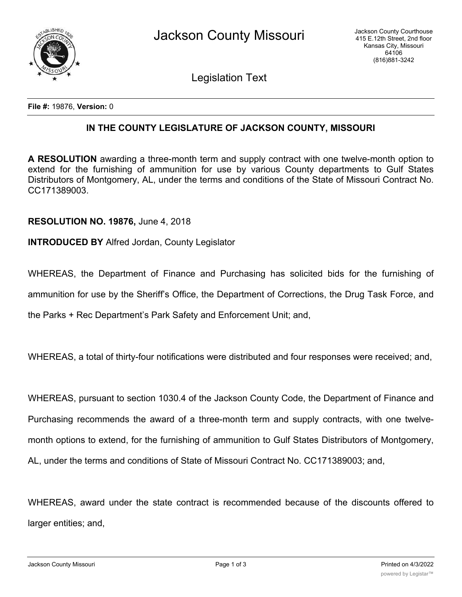

Legislation Text

**File #:** 19876, **Version:** 0

## **IN THE COUNTY LEGISLATURE OF JACKSON COUNTY, MISSOURI**

**A RESOLUTION** awarding a three-month term and supply contract with one twelve-month option to extend for the furnishing of ammunition for use by various County departments to Gulf States Distributors of Montgomery, AL, under the terms and conditions of the State of Missouri Contract No. CC171389003.

## **RESOLUTION NO. 19876,** June 4, 2018

## **INTRODUCED BY** Alfred Jordan, County Legislator

WHEREAS, the Department of Finance and Purchasing has solicited bids for the furnishing of ammunition for use by the Sheriff's Office, the Department of Corrections, the Drug Task Force, and the Parks + Rec Department's Park Safety and Enforcement Unit; and,

WHEREAS, a total of thirty-four notifications were distributed and four responses were received; and,

WHEREAS, pursuant to section 1030.4 of the Jackson County Code, the Department of Finance and Purchasing recommends the award of a three-month term and supply contracts, with one twelvemonth options to extend, for the furnishing of ammunition to Gulf States Distributors of Montgomery, AL, under the terms and conditions of State of Missouri Contract No. CC171389003; and,

WHEREAS, award under the state contract is recommended because of the discounts offered to larger entities; and,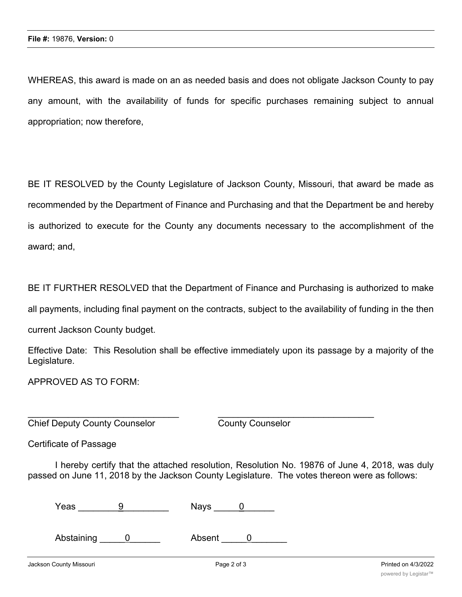WHEREAS, this award is made on an as needed basis and does not obligate Jackson County to pay any amount, with the availability of funds for specific purchases remaining subject to annual appropriation; now therefore,

BE IT RESOLVED by the County Legislature of Jackson County, Missouri, that award be made as recommended by the Department of Finance and Purchasing and that the Department be and hereby is authorized to execute for the County any documents necessary to the accomplishment of the award; and,

BE IT FURTHER RESOLVED that the Department of Finance and Purchasing is authorized to make all payments, including final payment on the contracts, subject to the availability of funding in the then current Jackson County budget.

Effective Date: This Resolution shall be effective immediately upon its passage by a majority of the Legislature.

APPROVED AS TO FORM:

**Chief Deputy County Counselor** County Counselor

Certificate of Passage

I hereby certify that the attached resolution, Resolution No. 19876 of June 4, 2018, was duly passed on June 11, 2018 by the Jackson County Legislature. The votes thereon were as follows:

 $\overline{\phantom{a}}$  , and the contribution of the contribution of the contribution of the contribution of the contribution of the contribution of the contribution of the contribution of the contribution of the contribution of the

 $\text{Yeas} \quad \qquad \frac{9}{2} \quad \text{Nays} \quad \frac{0}{2}$ 

Abstaining 0 Absent 0